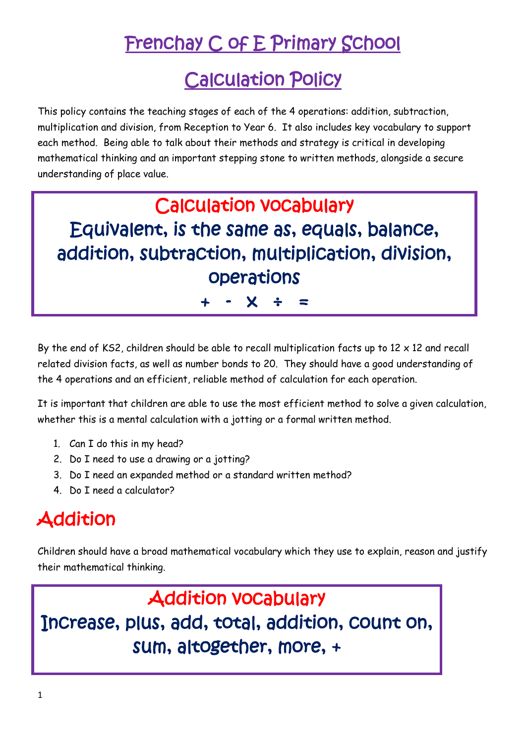## Frenchay C of E Primary School

### Calculation Policy

This policy contains the teaching stages of each of the 4 operations: addition, subtraction, multiplication and division, from Reception to Year 6. It also includes key vocabulary to support each method. Being able to talk about their methods and strategy is critical in developing mathematical thinking and an important stepping stone to written methods, alongside a secure understanding of place value.

### Calculation vocabulary Equivalent, is the same as, equals, balance, addition, subtraction, multiplication, division, operations

+ - x ÷ =

By the end of KS2, children should be able to recall multiplication facts up to  $12 \times 12$  and recall related division facts, as well as number bonds to 20. They should have a good understanding of the 4 operations and an efficient, reliable method of calculation for each operation.

It is important that children are able to use the most efficient method to solve a given calculation, whether this is a mental calculation with a jotting or a formal written method.

- 1. Can I do this in my head?
- 2. Do I need to use a drawing or a jotting?
- 3. Do I need an expanded method or a standard written method?
- 4. Do I need a calculator?

#### **Addition**

Children should have a broad mathematical vocabulary which they use to explain, reason and justify their mathematical thinking.

Addition vocabulary Increase, plus, add, total, addition, count on, sum, altogether, more, +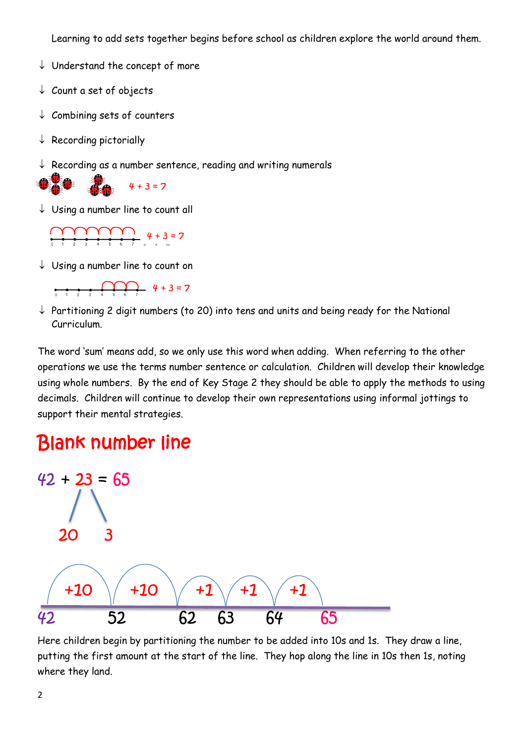Learning to add sets together begins before school as children explore the world around them.

- $\downarrow$  Understand the concept of more
- $\downarrow$  Count a set of objects
- $\downarrow$  Combining sets of counters
- $\downarrow$  Recording pictorially
- $\downarrow$  Recording as a number sentence, reading and writing numerals



 $\downarrow$  Using a number line to count all



 $\downarrow$  Using a number line to count on



 $\downarrow$  Partitioning 2 digit numbers (to 20) into tens and units and being ready for the National Curriculum.

The word 'sum' means add, so we only use this word when adding. When referring to the other operations we use the terms number sentence or calculation. Children will develop their knowledge using whole numbers. By the end of Key Stage 2 they should be able to apply the methods to using decimals. Children will continue to develop their own representations using informal jottings to support their mental strategies.

#### Blank number line



Here children begin by partitioning the number to be added into 10s and 1s. They draw a line, putting the first amount at the start of the line. They hop along the line in 10s then 1s, noting where they land.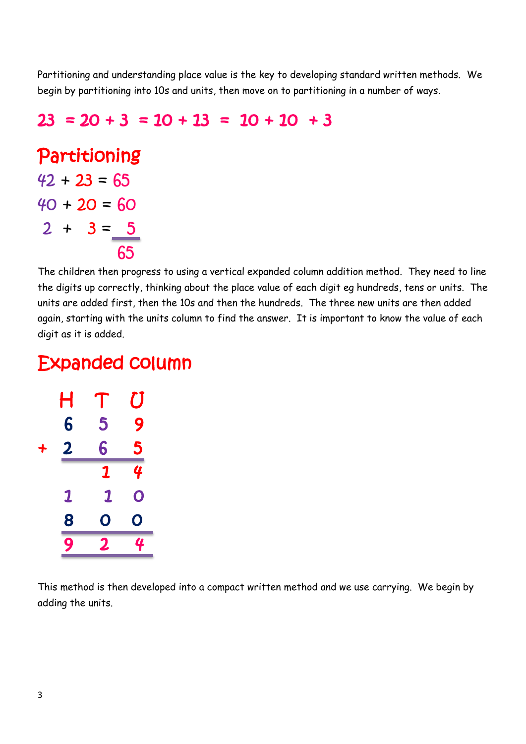Partitioning and understanding place value is the key to developing standard written methods. We begin by partitioning into 10s and units, then move on to partitioning in a number of ways.

#### $23 = 20 + 3 = 10 + 13 = 10 + 10 + 3$

Partitioning  $42 + 23 = 65$  $40 + 20 = 60$  $2 + 3 = 5$ 

**65** 

The children then progress to using a vertical expanded column addition method. They need to line the digits up correctly, thinking about the place value of each digit eg hundreds, tens or units. The units are added first, then the 10s and then the hundreds. The three new units are then added again, starting with the units column to find the answer. It is important to know the value of each digit as it is added.

#### Expanded column

|   | Η                       | $\int$ | $\bm{U}$ |
|---|-------------------------|--------|----------|
|   | 6                       | 5      | 9        |
| ╇ | 2                       | 6      | 5        |
|   |                         | 1      |          |
|   | $\overline{\mathbf{1}}$ | 1      | O        |
|   | 8                       | O      | O        |
|   | $\overline{9}$          | 2      | 4        |

This method is then developed into a compact written method and we use carrying. We begin by adding the units.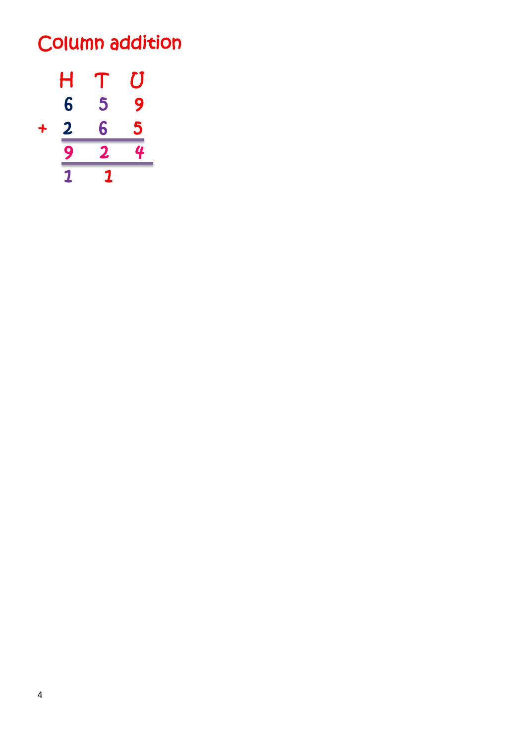## Column addition

$$
\begin{array}{cccc}\nH & T & U \\
6 & 5 & 9 \\
+ & 2 & 6 & 5 \\
\hline\n9 & 2 & 4 \\
\hline\n1 & 1 & 1\n\end{array}
$$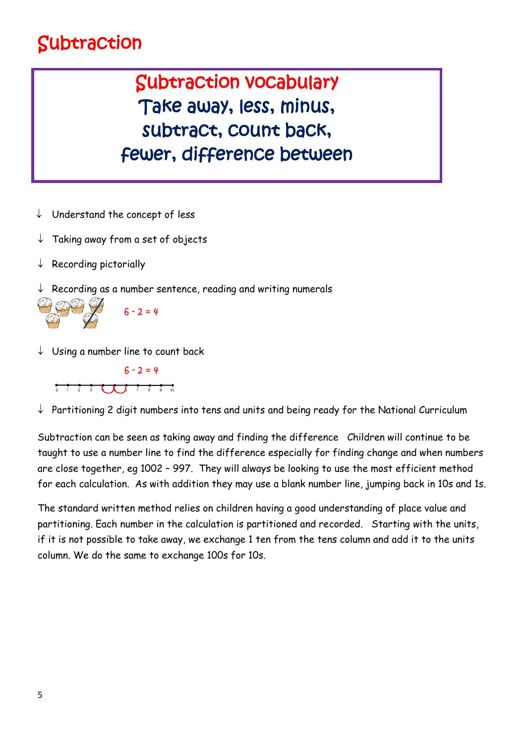### Subtraction

### Subtraction vocabulary Take away, less, minus, subtract, count back, fewer, difference between

- $\downarrow$  Understand the concept of less
- $\downarrow$  Taking away from a set of objects
- $\downarrow$  Recording pictorially
- Recording as a number sentence, reading and writing numerals



 $\downarrow$  Using a number line to count back



 $\downarrow$  Partitioning 2 digit numbers into tens and units and being ready for the National Curriculum

Subtraction can be seen as taking away and finding the difference Children will continue to be taught to use a number line to find the difference especially for finding change and when numbers are close together, eg 1002 – 997. They will always be looking to use the most efficient method for each calculation. As with addition they may use a blank number line, jumping back in 10s and 1s.

The standard written method relies on children having a good understanding of place value and partitioning. Each number in the calculation is partitioned and recorded. Starting with the units, if it is not possible to take away, we exchange 1 ten from the tens column and add it to the units column. We do the same to exchange 100s for 10s.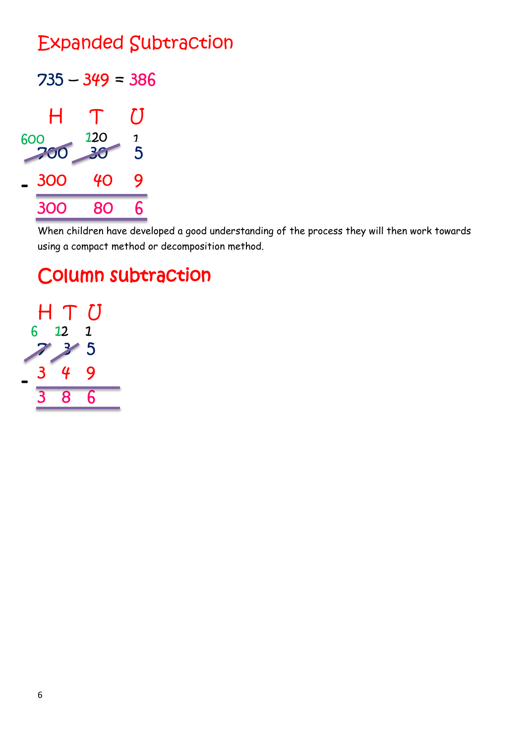### Expanded Subtraction

 $735 - 349 = 386$ 



When children have developed a good understanding of the process they will then work towards using a compact method or decomposition method.

### Column subtraction

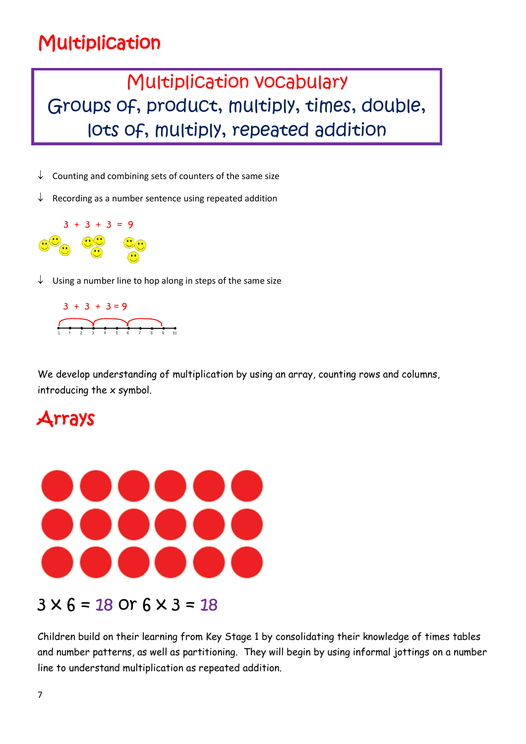### Multiplication

### Multiplication vocabulary Groups of, product, multiply, times, double, lots of, multiply, repeated addition

- $\downarrow$  Counting and combining sets of counters of the same size
- $\downarrow$  Recording as a number sentence using repeated addition



 $\downarrow$  Using a number line to hop along in steps of the same size



We develop understanding of multiplication by using an array, counting rows and columns, introducing the x symbol.

#### Arrays



#### $3 \times 6 = 18$  Or  $6 \times 3 = 18$

Children build on their learning from Key Stage 1 by consolidating their knowledge of times tables and number patterns, as well as partitioning. They will begin by using informal jottings on a number line to understand multiplication as repeated addition.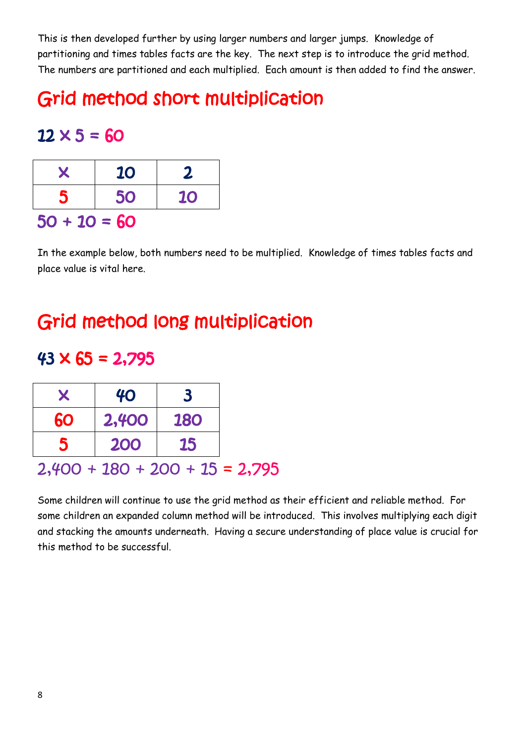This is then developed further by using larger numbers and larger jumps. Knowledge of partitioning and times tables facts are the key. The next step is to introduce the grid method. The numbers are partitioned and each multiplied. Each amount is then added to find the answer.

### Grid method short multiplication

#### $12 \times 5 = 60$

| $\mathbf x$    | <b>10</b> | $\mathbf{z}$ |  |  |  |
|----------------|-----------|--------------|--|--|--|
| 5              | 50        | <b>10</b>    |  |  |  |
| $50 + 10 = 60$ |           |              |  |  |  |

In the example below, both numbers need to be multiplied. Knowledge of times tables facts and place value is vital here.

### Grid method long multiplication

#### $43 \times 65 = 2,795$

 $2,400 + 180 + 200 + 15 = 2,795$ 

Some children will continue to use the grid method as their efficient and reliable method. For some children an expanded column method will be introduced. This involves multiplying each digit and stacking the amounts underneath. Having a secure understanding of place value is crucial for this method to be successful.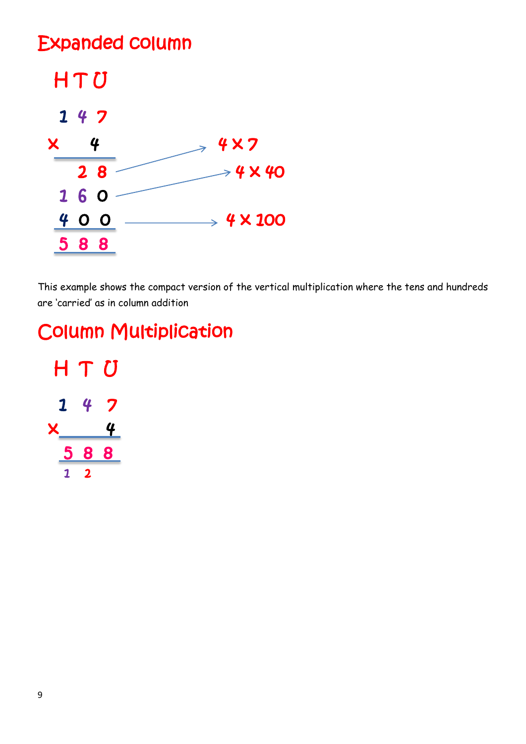#### Expanded column



This example shows the compact version of the vertical multiplication where the tens and hundreds are 'carried' as in column addition

### Column Multiplication

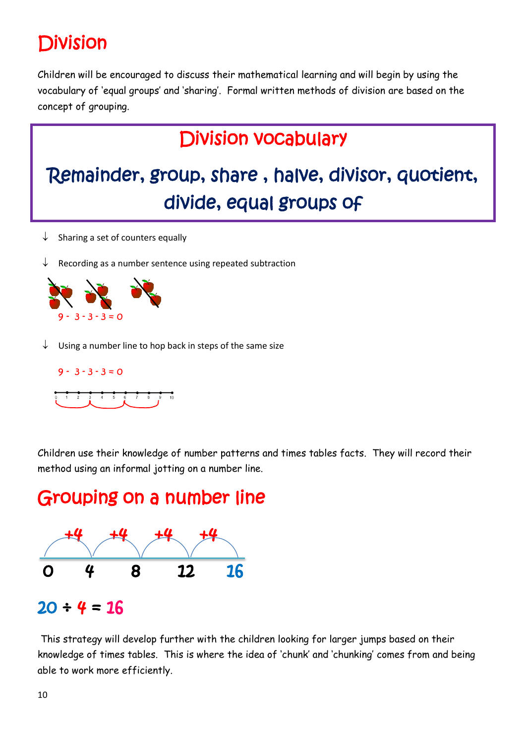# Division

Children will be encouraged to discuss their mathematical learning and will begin by using the vocabulary of 'equal groups' and 'sharing'. Formal written methods of division are based on the concept of grouping.

### Division vocabulary

# Remainder, group, share , halve, divisor, quotient, divide, equal groups of

- $\downarrow$  Sharing a set of counters equally
- $\downarrow$  Recording as a number sentence using repeated subtraction



Using a number line to hop back in steps of the same size



Children use their knowledge of number patterns and times tables facts. They will record their method using an informal jotting on a number line.

#### Grouping on a number line



#### $20 \div 4 = 16$

This strategy will develop further with the children looking for larger jumps based on their knowledge of times tables. This is where the idea of 'chunk' and 'chunking' comes from and being able to work more efficiently.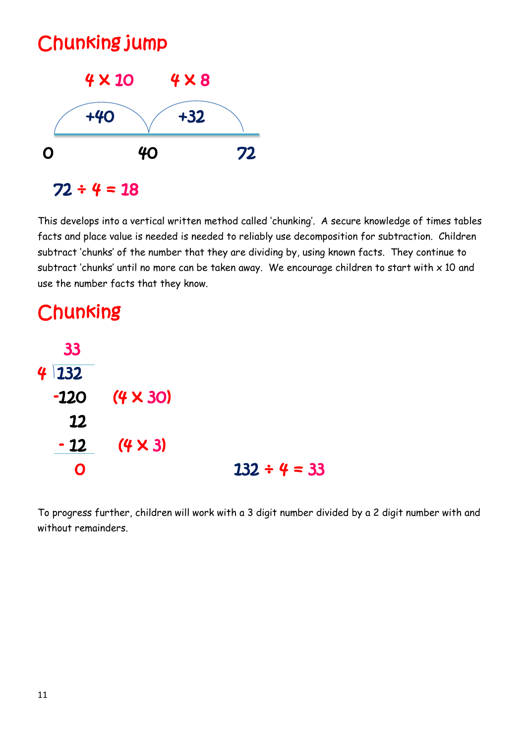

This develops into a vertical written method called 'chunking'. A secure knowledge of times tables facts and place value is needed is needed to reliably use decomposition for subtraction. Children subtract 'chunks' of the number that they are dividing by, using known facts. They continue to subtract 'chunks' until no more can be taken away. We encourage children to start with  $\times$  10 and use the number facts that they know.

### **Chunking**



To progress further, children will work with a 3 digit number divided by a 2 digit number with and without remainders.